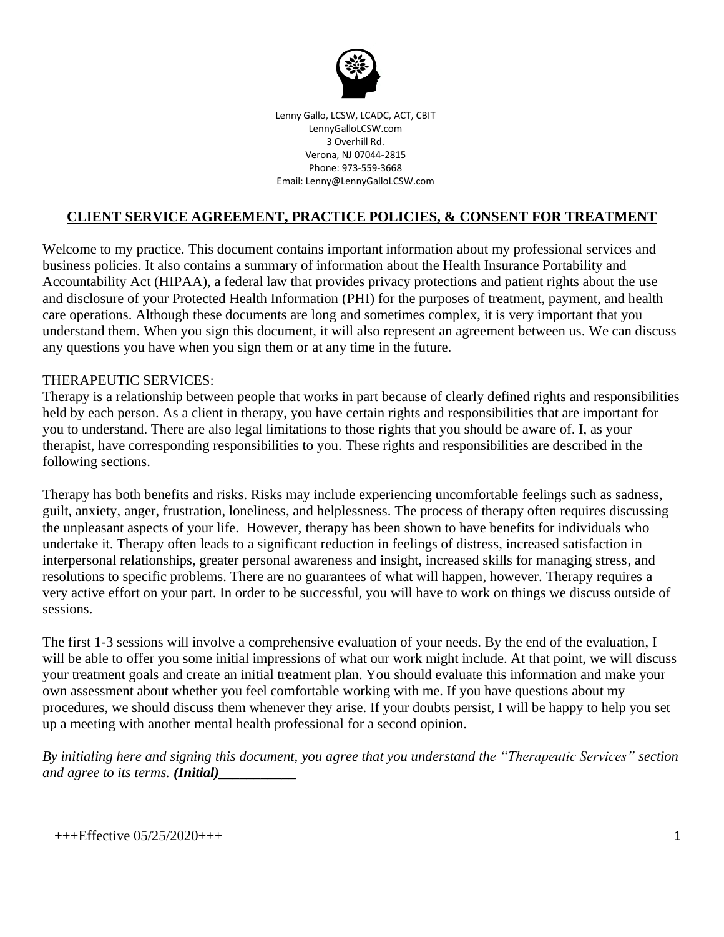

Lenny Gallo, LCSW, LCADC, ACT, CBIT LennyGalloLCSW.com 3 Overhill Rd. Verona, NJ 07044-2815 Phone: 973-559-3668 Email: Lenny@LennyGalloLCSW.com

## **CLIENT SERVICE AGREEMENT, PRACTICE POLICIES, & CONSENT FOR TREATMENT**

Welcome to my practice. This document contains important information about my professional services and business policies. It also contains a summary of information about the Health Insurance Portability and Accountability Act (HIPAA), a federal law that provides privacy protections and patient rights about the use and disclosure of your Protected Health Information (PHI) for the purposes of treatment, payment, and health care operations. Although these documents are long and sometimes complex, it is very important that you understand them. When you sign this document, it will also represent an agreement between us. We can discuss any questions you have when you sign them or at any time in the future.

#### THERAPEUTIC SERVICES:

Therapy is a relationship between people that works in part because of clearly defined rights and responsibilities held by each person. As a client in therapy, you have certain rights and responsibilities that are important for you to understand. There are also legal limitations to those rights that you should be aware of. I, as your therapist, have corresponding responsibilities to you. These rights and responsibilities are described in the following sections.

Therapy has both benefits and risks. Risks may include experiencing uncomfortable feelings such as sadness, guilt, anxiety, anger, frustration, loneliness, and helplessness. The process of therapy often requires discussing the unpleasant aspects of your life. However, therapy has been shown to have benefits for individuals who undertake it. Therapy often leads to a significant reduction in feelings of distress, increased satisfaction in interpersonal relationships, greater personal awareness and insight, increased skills for managing stress, and resolutions to specific problems. There are no guarantees of what will happen, however. Therapy requires a very active effort on your part. In order to be successful, you will have to work on things we discuss outside of sessions.

The first 1-3 sessions will involve a comprehensive evaluation of your needs. By the end of the evaluation, I will be able to offer you some initial impressions of what our work might include. At that point, we will discuss your treatment goals and create an initial treatment plan. You should evaluate this information and make your own assessment about whether you feel comfortable working with me. If you have questions about my procedures, we should discuss them whenever they arise. If your doubts persist, I will be happy to help you set up a meeting with another mental health professional for a second opinion.

*By initialing here and signing this document, you agree that you understand the "Therapeutic Services" section and agree to its terms. (Initial)*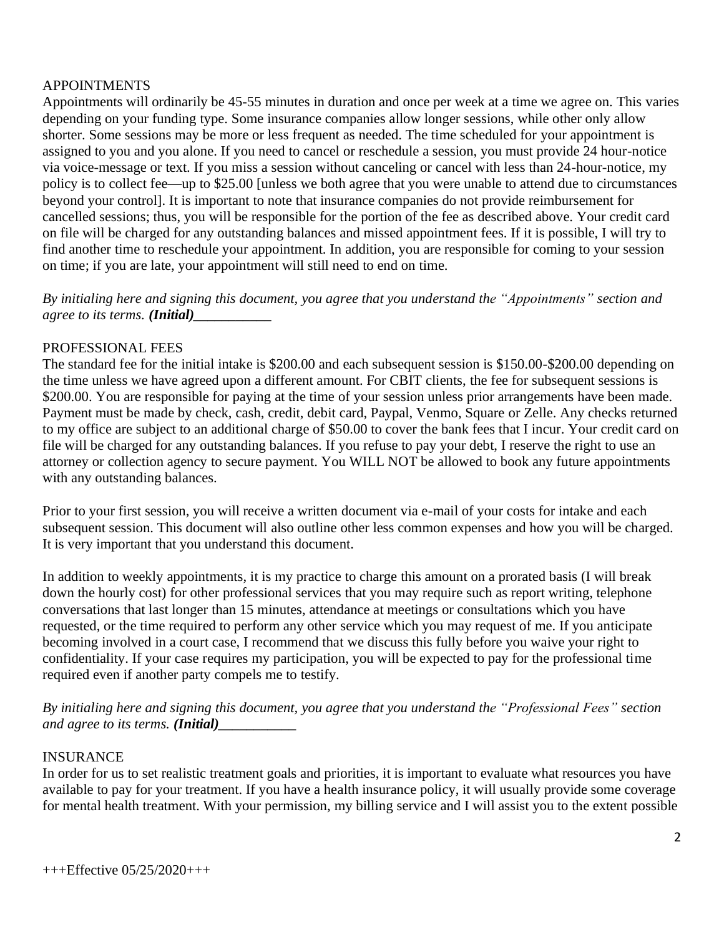### APPOINTMENTS

Appointments will ordinarily be 45-55 minutes in duration and once per week at a time we agree on. This varies depending on your funding type. Some insurance companies allow longer sessions, while other only allow shorter. Some sessions may be more or less frequent as needed. The time scheduled for your appointment is assigned to you and you alone. If you need to cancel or reschedule a session, you must provide 24 hour-notice via voice-message or text. If you miss a session without canceling or cancel with less than 24-hour-notice, my policy is to collect fee—up to \$25.00 [unless we both agree that you were unable to attend due to circumstances beyond your control]. It is important to note that insurance companies do not provide reimbursement for cancelled sessions; thus, you will be responsible for the portion of the fee as described above. Your credit card on file will be charged for any outstanding balances and missed appointment fees. If it is possible, I will try to find another time to reschedule your appointment. In addition, you are responsible for coming to your session on time; if you are late, your appointment will still need to end on time.

*By initialing here and signing this document, you agree that you understand the "Appointments" section and agree to its terms. (Initial)\_\_\_\_\_\_\_\_\_\_\_*

### PROFESSIONAL FEES

The standard fee for the initial intake is \$200.00 and each subsequent session is \$150.00-\$200.00 depending on the time unless we have agreed upon a different amount. For CBIT clients, the fee for subsequent sessions is \$200.00. You are responsible for paying at the time of your session unless prior arrangements have been made. Payment must be made by check, cash, credit, debit card, Paypal, Venmo, Square or Zelle. Any checks returned to my office are subject to an additional charge of \$50.00 to cover the bank fees that I incur. Your credit card on file will be charged for any outstanding balances. If you refuse to pay your debt, I reserve the right to use an attorney or collection agency to secure payment. You WILL NOT be allowed to book any future appointments with any outstanding balances.

Prior to your first session, you will receive a written document via e-mail of your costs for intake and each subsequent session. This document will also outline other less common expenses and how you will be charged. It is very important that you understand this document.

In addition to weekly appointments, it is my practice to charge this amount on a prorated basis (I will break down the hourly cost) for other professional services that you may require such as report writing, telephone conversations that last longer than 15 minutes, attendance at meetings or consultations which you have requested, or the time required to perform any other service which you may request of me. If you anticipate becoming involved in a court case, I recommend that we discuss this fully before you waive your right to confidentiality. If your case requires my participation, you will be expected to pay for the professional time required even if another party compels me to testify.

*By initialing here and signing this document, you agree that you understand the "Professional Fees" section and agree to its terms. (Initial)* 

#### INSURANCE

In order for us to set realistic treatment goals and priorities, it is important to evaluate what resources you have available to pay for your treatment. If you have a health insurance policy, it will usually provide some coverage for mental health treatment. With your permission, my billing service and I will assist you to the extent possible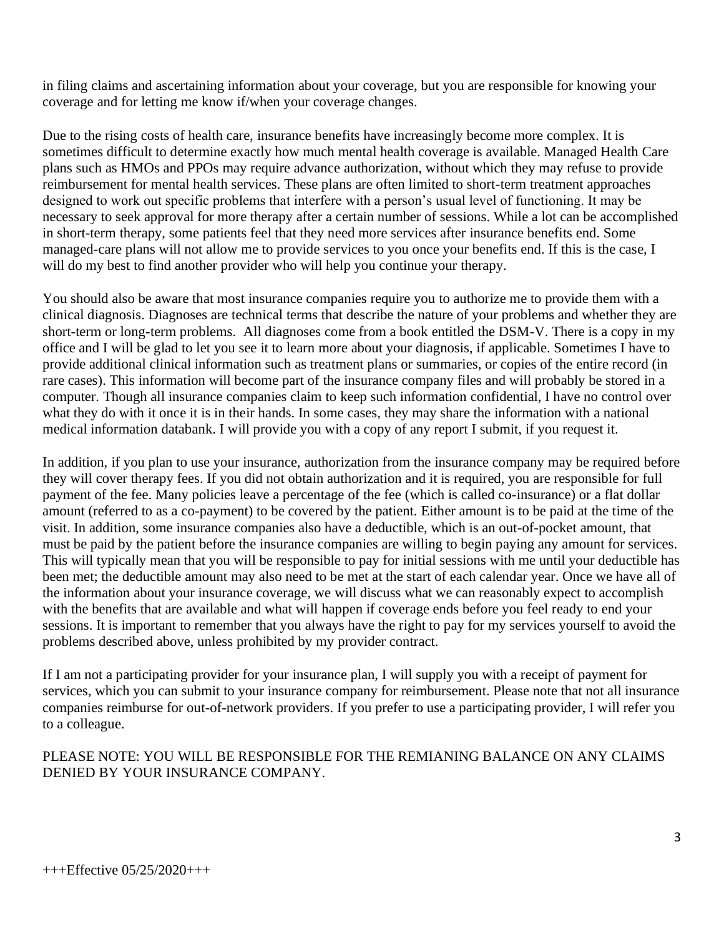in filing claims and ascertaining information about your coverage, but you are responsible for knowing your coverage and for letting me know if/when your coverage changes.

Due to the rising costs of health care, insurance benefits have increasingly become more complex. It is sometimes difficult to determine exactly how much mental health coverage is available. Managed Health Care plans such as HMOs and PPOs may require advance authorization, without which they may refuse to provide reimbursement for mental health services. These plans are often limited to short-term treatment approaches designed to work out specific problems that interfere with a person's usual level of functioning. It may be necessary to seek approval for more therapy after a certain number of sessions. While a lot can be accomplished in short-term therapy, some patients feel that they need more services after insurance benefits end. Some managed-care plans will not allow me to provide services to you once your benefits end. If this is the case, I will do my best to find another provider who will help you continue your therapy.

You should also be aware that most insurance companies require you to authorize me to provide them with a clinical diagnosis. Diagnoses are technical terms that describe the nature of your problems and whether they are short-term or long-term problems. All diagnoses come from a book entitled the DSM-V. There is a copy in my office and I will be glad to let you see it to learn more about your diagnosis, if applicable. Sometimes I have to provide additional clinical information such as treatment plans or summaries, or copies of the entire record (in rare cases). This information will become part of the insurance company files and will probably be stored in a computer. Though all insurance companies claim to keep such information confidential, I have no control over what they do with it once it is in their hands. In some cases, they may share the information with a national medical information databank. I will provide you with a copy of any report I submit, if you request it.

In addition, if you plan to use your insurance, authorization from the insurance company may be required before they will cover therapy fees. If you did not obtain authorization and it is required, you are responsible for full payment of the fee. Many policies leave a percentage of the fee (which is called co-insurance) or a flat dollar amount (referred to as a co-payment) to be covered by the patient. Either amount is to be paid at the time of the visit. In addition, some insurance companies also have a deductible, which is an out-of-pocket amount, that must be paid by the patient before the insurance companies are willing to begin paying any amount for services. This will typically mean that you will be responsible to pay for initial sessions with me until your deductible has been met; the deductible amount may also need to be met at the start of each calendar year. Once we have all of the information about your insurance coverage, we will discuss what we can reasonably expect to accomplish with the benefits that are available and what will happen if coverage ends before you feel ready to end your sessions. It is important to remember that you always have the right to pay for my services yourself to avoid the problems described above, unless prohibited by my provider contract.

If I am not a participating provider for your insurance plan, I will supply you with a receipt of payment for services, which you can submit to your insurance company for reimbursement. Please note that not all insurance companies reimburse for out-of-network providers. If you prefer to use a participating provider, I will refer you to a colleague.

## PLEASE NOTE: YOU WILL BE RESPONSIBLE FOR THE REMIANING BALANCE ON ANY CLAIMS DENIED BY YOUR INSURANCE COMPANY.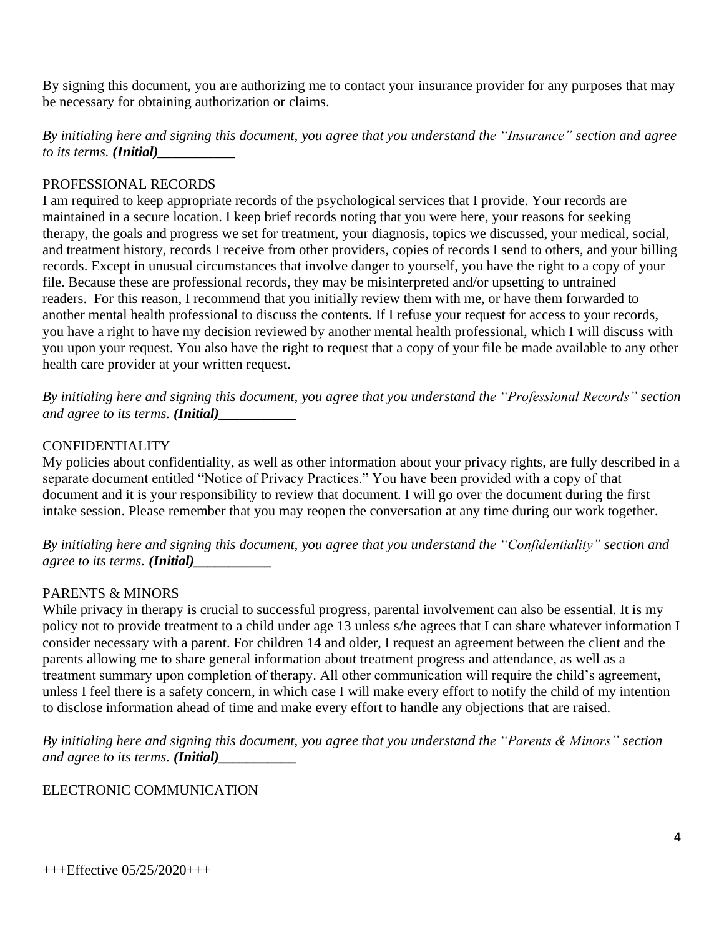By signing this document, you are authorizing me to contact your insurance provider for any purposes that may be necessary for obtaining authorization or claims.

*By initialing here and signing this document, you agree that you understand the "Insurance" section and agree to its terms. (Initial)* 

## PROFESSIONAL RECORDS

I am required to keep appropriate records of the psychological services that I provide. Your records are maintained in a secure location. I keep brief records noting that you were here, your reasons for seeking therapy, the goals and progress we set for treatment, your diagnosis, topics we discussed, your medical, social, and treatment history, records I receive from other providers, copies of records I send to others, and your billing records. Except in unusual circumstances that involve danger to yourself, you have the right to a copy of your file. Because these are professional records, they may be misinterpreted and/or upsetting to untrained readers. For this reason, I recommend that you initially review them with me, or have them forwarded to another mental health professional to discuss the contents. If I refuse your request for access to your records, you have a right to have my decision reviewed by another mental health professional, which I will discuss with you upon your request. You also have the right to request that a copy of your file be made available to any other health care provider at your written request.

*By initialing here and signing this document, you agree that you understand the "Professional Records" section and agree to its terms. (Initial)* 

# CONFIDENTIALITY

My policies about confidentiality, as well as other information about your privacy rights, are fully described in a separate document entitled "Notice of Privacy Practices." You have been provided with a copy of that document and it is your responsibility to review that document. I will go over the document during the first intake session. Please remember that you may reopen the conversation at any time during our work together.

*By initialing here and signing this document, you agree that you understand the "Confidentiality" section and agree to its terms. (Initial)\_\_\_\_\_\_\_\_\_\_\_*

# PARENTS & MINORS

While privacy in therapy is crucial to successful progress, parental involvement can also be essential. It is my policy not to provide treatment to a child under age 13 unless s/he agrees that I can share whatever information I consider necessary with a parent. For children 14 and older, I request an agreement between the client and the parents allowing me to share general information about treatment progress and attendance, as well as a treatment summary upon completion of therapy. All other communication will require the child's agreement, unless I feel there is a safety concern, in which case I will make every effort to notify the child of my intention to disclose information ahead of time and make every effort to handle any objections that are raised.

*By initialing here and signing this document, you agree that you understand the "Parents & Minors" section and agree to its terms. (Initial)\_\_\_\_\_\_\_\_\_\_\_*

# ELECTRONIC COMMUNICATION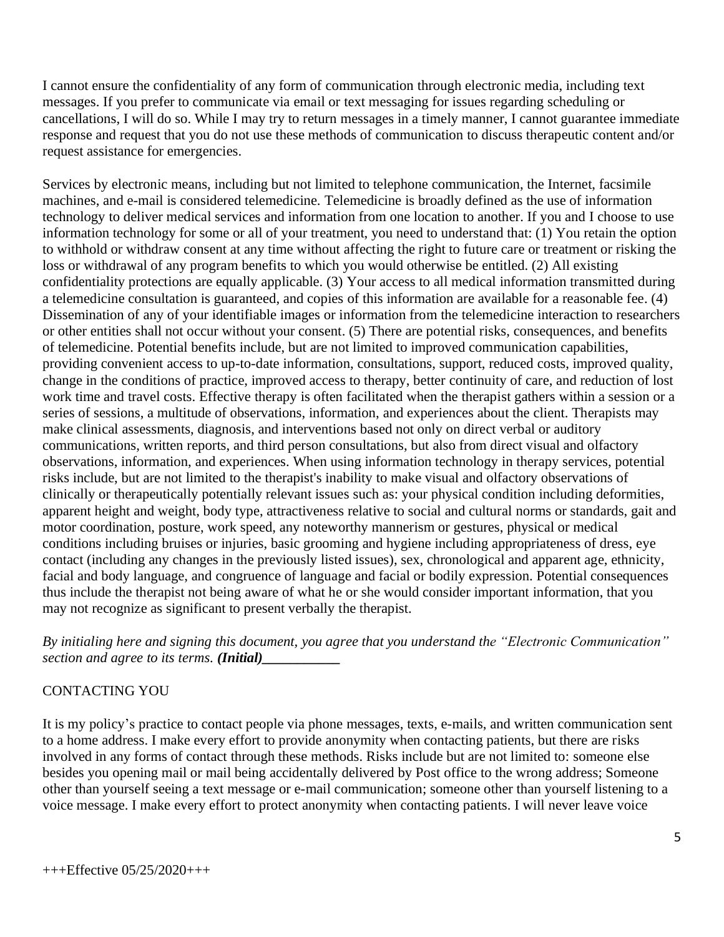I cannot ensure the confidentiality of any form of communication through electronic media, including text messages. If you prefer to communicate via email or text messaging for issues regarding scheduling or cancellations, I will do so. While I may try to return messages in a timely manner, I cannot guarantee immediate response and request that you do not use these methods of communication to discuss therapeutic content and/or request assistance for emergencies.

Services by electronic means, including but not limited to telephone communication, the Internet, facsimile machines, and e-mail is considered telemedicine. Telemedicine is broadly defined as the use of information technology to deliver medical services and information from one location to another. If you and I choose to use information technology for some or all of your treatment, you need to understand that: (1) You retain the option to withhold or withdraw consent at any time without affecting the right to future care or treatment or risking the loss or withdrawal of any program benefits to which you would otherwise be entitled. (2) All existing confidentiality protections are equally applicable. (3) Your access to all medical information transmitted during a telemedicine consultation is guaranteed, and copies of this information are available for a reasonable fee. (4) Dissemination of any of your identifiable images or information from the telemedicine interaction to researchers or other entities shall not occur without your consent. (5) There are potential risks, consequences, and benefits of telemedicine. Potential benefits include, but are not limited to improved communication capabilities, providing convenient access to up-to-date information, consultations, support, reduced costs, improved quality, change in the conditions of practice, improved access to therapy, better continuity of care, and reduction of lost work time and travel costs. Effective therapy is often facilitated when the therapist gathers within a session or a series of sessions, a multitude of observations, information, and experiences about the client. Therapists may make clinical assessments, diagnosis, and interventions based not only on direct verbal or auditory communications, written reports, and third person consultations, but also from direct visual and olfactory observations, information, and experiences. When using information technology in therapy services, potential risks include, but are not limited to the therapist's inability to make visual and olfactory observations of clinically or therapeutically potentially relevant issues such as: your physical condition including deformities, apparent height and weight, body type, attractiveness relative to social and cultural norms or standards, gait and motor coordination, posture, work speed, any noteworthy mannerism or gestures, physical or medical conditions including bruises or injuries, basic grooming and hygiene including appropriateness of dress, eye contact (including any changes in the previously listed issues), sex, chronological and apparent age, ethnicity, facial and body language, and congruence of language and facial or bodily expression. Potential consequences thus include the therapist not being aware of what he or she would consider important information, that you may not recognize as significant to present verbally the therapist.

*By initialing here and signing this document, you agree that you understand the "Electronic Communication" section and agree to its terms. (Initial)* 

## CONTACTING YOU

It is my policy's practice to contact people via phone messages, texts, e-mails, and written communication sent to a home address. I make every effort to provide anonymity when contacting patients, but there are risks involved in any forms of contact through these methods. Risks include but are not limited to: someone else besides you opening mail or mail being accidentally delivered by Post office to the wrong address; Someone other than yourself seeing a text message or e-mail communication; someone other than yourself listening to a voice message. I make every effort to protect anonymity when contacting patients. I will never leave voice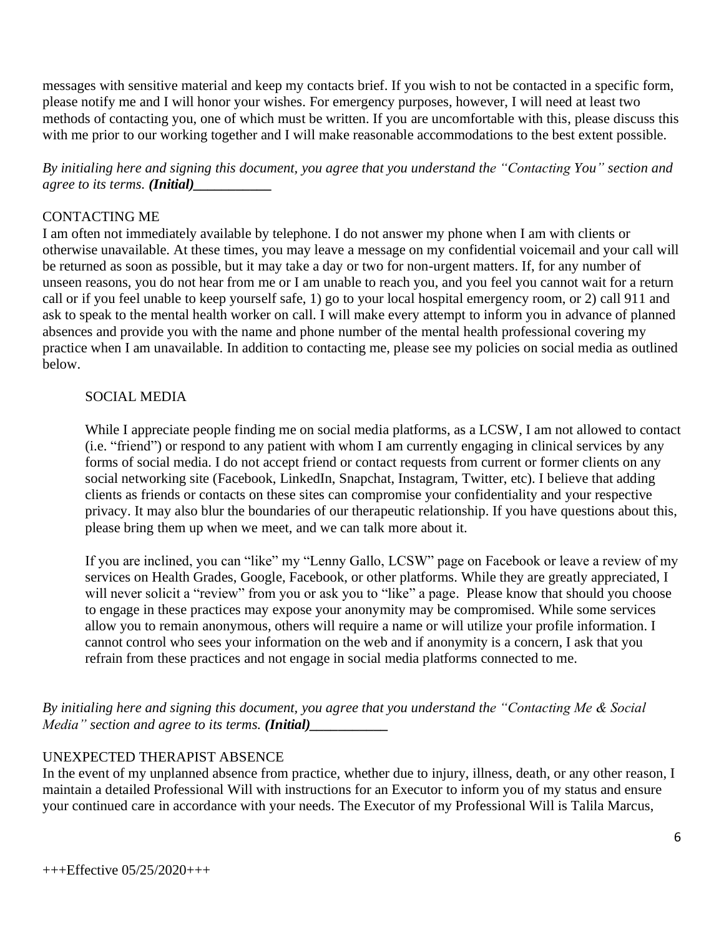messages with sensitive material and keep my contacts brief. If you wish to not be contacted in a specific form, please notify me and I will honor your wishes. For emergency purposes, however, I will need at least two methods of contacting you, one of which must be written. If you are uncomfortable with this, please discuss this with me prior to our working together and I will make reasonable accommodations to the best extent possible.

*By initialing here and signing this document, you agree that you understand the "Contacting You" section and agree to its terms. (Initial)* 

### CONTACTING ME

I am often not immediately available by telephone. I do not answer my phone when I am with clients or otherwise unavailable. At these times, you may leave a message on my confidential voicemail and your call will be returned as soon as possible, but it may take a day or two for non-urgent matters. If, for any number of unseen reasons, you do not hear from me or I am unable to reach you, and you feel you cannot wait for a return call or if you feel unable to keep yourself safe, 1) go to your local hospital emergency room, or 2) call 911 and ask to speak to the mental health worker on call. I will make every attempt to inform you in advance of planned absences and provide you with the name and phone number of the mental health professional covering my practice when I am unavailable. In addition to contacting me, please see my policies on social media as outlined below.

### SOCIAL MEDIA

While I appreciate people finding me on social media platforms, as a LCSW, I am not allowed to contact (i.e. "friend") or respond to any patient with whom I am currently engaging in clinical services by any forms of social media. I do not accept friend or contact requests from current or former clients on any social networking site (Facebook, LinkedIn, Snapchat, Instagram, Twitter, etc). I believe that adding clients as friends or contacts on these sites can compromise your confidentiality and your respective privacy. It may also blur the boundaries of our therapeutic relationship. If you have questions about this, please bring them up when we meet, and we can talk more about it.

If you are inclined, you can "like" my "Lenny Gallo, LCSW" page on Facebook or leave a review of my services on Health Grades, Google, Facebook, or other platforms. While they are greatly appreciated, I will never solicit a "review" from you or ask you to "like" a page. Please know that should you choose to engage in these practices may expose your anonymity may be compromised. While some services allow you to remain anonymous, others will require a name or will utilize your profile information. I cannot control who sees your information on the web and if anonymity is a concern, I ask that you refrain from these practices and not engage in social media platforms connected to me.

*By initialing here and signing this document, you agree that you understand the "Contacting Me & Social Media*" *section and agree to its terms. (Initial)\_\_\_\_\_\_\_\_\_\_\_\_\_\_\_\_\_\_\_\_\_\_\_\_\_\_\_\_* 

## UNEXPECTED THERAPIST ABSENCE

In the event of my unplanned absence from practice, whether due to injury, illness, death, or any other reason, I maintain a detailed Professional Will with instructions for an Executor to inform you of my status and ensure your continued care in accordance with your needs. The Executor of my Professional Will is Talila Marcus,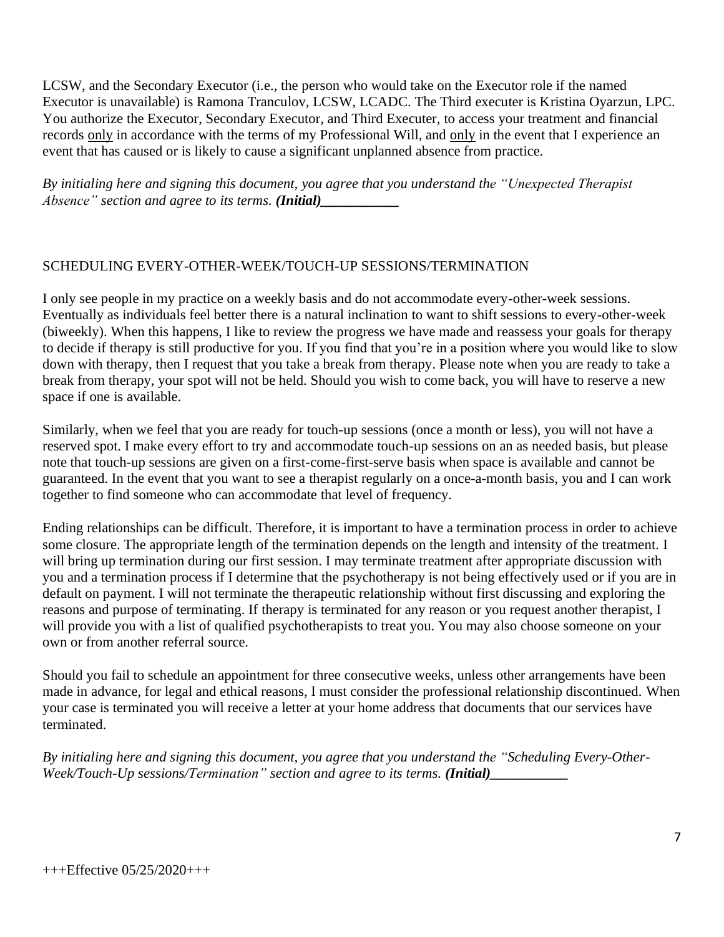LCSW, and the Secondary Executor (i.e., the person who would take on the Executor role if the named Executor is unavailable) is Ramona Tranculov, LCSW, LCADC. The Third executer is Kristina Oyarzun, LPC. You authorize the Executor, Secondary Executor, and Third Executer, to access your treatment and financial records only in accordance with the terms of my Professional Will, and only in the event that I experience an event that has caused or is likely to cause a significant unplanned absence from practice.

*By initialing here and signing this document, you agree that you understand the "Unexpected Therapist Absence*" *section and agree to its terms. (Initial)* 

# SCHEDULING EVERY-OTHER-WEEK/TOUCH-UP SESSIONS/TERMINATION

I only see people in my practice on a weekly basis and do not accommodate every-other-week sessions. Eventually as individuals feel better there is a natural inclination to want to shift sessions to every-other-week (biweekly). When this happens, I like to review the progress we have made and reassess your goals for therapy to decide if therapy is still productive for you. If you find that you're in a position where you would like to slow down with therapy, then I request that you take a break from therapy. Please note when you are ready to take a break from therapy, your spot will not be held. Should you wish to come back, you will have to reserve a new space if one is available.

Similarly, when we feel that you are ready for touch-up sessions (once a month or less), you will not have a reserved spot. I make every effort to try and accommodate touch-up sessions on an as needed basis, but please note that touch-up sessions are given on a first-come-first-serve basis when space is available and cannot be guaranteed. In the event that you want to see a therapist regularly on a once-a-month basis, you and I can work together to find someone who can accommodate that level of frequency.

Ending relationships can be difficult. Therefore, it is important to have a termination process in order to achieve some closure. The appropriate length of the termination depends on the length and intensity of the treatment. I will bring up termination during our first session. I may terminate treatment after appropriate discussion with you and a termination process if I determine that the psychotherapy is not being effectively used or if you are in default on payment. I will not terminate the therapeutic relationship without first discussing and exploring the reasons and purpose of terminating. If therapy is terminated for any reason or you request another therapist, I will provide you with a list of qualified psychotherapists to treat you. You may also choose someone on your own or from another referral source.

Should you fail to schedule an appointment for three consecutive weeks, unless other arrangements have been made in advance, for legal and ethical reasons, I must consider the professional relationship discontinued. When your case is terminated you will receive a letter at your home address that documents that our services have terminated.

*By initialing here and signing this document, you agree that you understand the "Scheduling Every-Other-Week/Touch-Up sessions/Termination" section and agree to its terms. (Initial)\_\_\_\_\_\_\_\_\_\_\_*